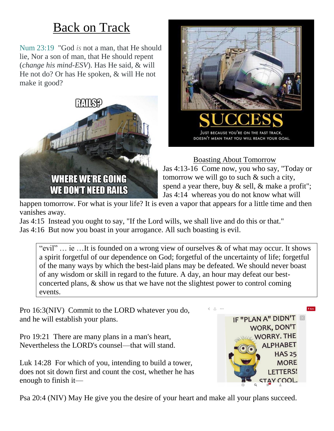## Back on Track

Num 23:19 "God *is* not a man, that He should lie, Nor a son of man, that He should repent (*change his mind-ESV*). Has He said, & will He not do? Or has He spoken, & will He not make it good?





Boasting About Tomorrow

Jas 4:13-16 Come now, you who say, "Today or tomorrow we will go to such & such a city, spend a year there, buy  $\&$  sell,  $\&$  make a profit"; Jas 4:14 whereas you do not know what will

happen tomorrow. For what is your life? It is even a vapor that appears for a little time and then vanishes away.

Jas 4:15 Instead you ought to say, "If the Lord wills, we shall live and do this or that." Jas 4:16 But now you boast in your arrogance. All such boasting is evil.

"evil"  $\ldots$  ie  $\ldots$  It is founded on a wrong view of ourselves & of what may occur. It shows a spirit forgetful of our dependence on God; forgetful of the uncertainty of life; forgetful of the many ways by which the best-laid plans may be defeated. We should never boast of any wisdom or skill in regard to the future. A day, an hour may defeat our bestconcerted plans, & show us that we have not the slightest power to control coming events.

Pro 16:3(NIV) Commit to the LORD whatever you do, and he will establish your plans.

Pro 19:21 There are many plans in a man's heart, Nevertheless the LORD's counsel—that will stand.

Luk 14:28 For which of you, intending to build a tower, does not sit down first and count the cost, whether he has enough to finish it—



Psa 20:4 (NIV) May He give you the desire of your heart and make all your plans succeed.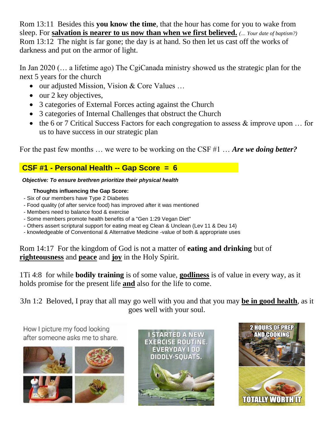Rom 13:11 Besides this **you know the time**, that the hour has come for you to wake from sleep. For **salvation is nearer to us now than when we first believed.** *(… Your date of baptism?)* Rom 13:12 The night is far gone; the day is at hand. So then let us cast off the works of darkness and put on the armor of light.

In Jan 2020 (… a lifetime ago) The CgiCanada ministry showed us the strategic plan for the next 5 years for the church

- our adjusted Mission, Vision & Core Values ...
- $\bullet$  our 2 key objectives,
- 3 categories of External Forces acting against the Church
- 3 categories of Internal Challenges that obstruct the Church
- the 6 or 7 Critical Success Factors for each congregation to assess  $\&$  improve upon ... for us to have success in our strategic plan

For the past few months … we were to be working on the CSF #1 … *Are we doing better?*

#### **CSF #1 - Personal Health -- Gap Score = 6**

#### *Objective: To ensure brethren prioritize their physical health*

#### **Thoughts influencing the Gap Score:**

- Six of our members have Type 2 Diabetes
- Food quality (of after service food) has improved after it was mentioned
- Members need to balance food & exercise
- Some members promote health benefits of a "Gen 1:29 Vegan Diet"
- Others assert scriptural support for eating meat eg Clean & Unclean (Lev 11 & Deu 14)
- knowledgeable of Conventional & Alternative Medicine -value of both & appropriate uses

#### Rom 14:17 For the kingdom of God is not a matter of **eating and drinking** but of **righteousness** and **peace** and **joy** in the Holy Spirit.

1Ti 4:8 for while **bodily training** is of some value, **godliness** is of value in every way, as it holds promise for the present life **and** also for the life to come.

3Jn 1:2 Beloved, I pray that all may go well with you and that you may **be in good health**, as it goes well with your soul.

How I picture my food looking after someone asks me to share.





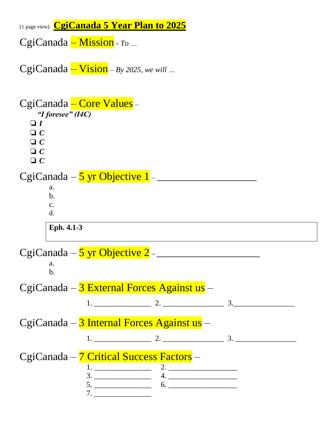(1 page view) **CgiCanada 5 Year Plan to 2025**

CgiCanada – Mission - *To …*

CgiCanada – Vision – *By 2025, we will …*

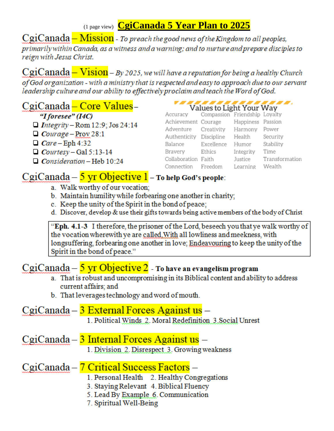(1 page view) CgiCanada 5 Year Plan to 2025

CgiCanada - Mission - To preach the good news of the Kingdom to all peoples, primarily within Canada, as a witness and a warning; and to nurture and prepare disciples to reign with Jesus Christ.

CgiCanada - Vision - By 2025, we will have a reputation for being a healthy Church of God organization - with a ministry that is respected and easy to approach due to our servant leadership culture and our ability to effectively proclaim and teach the Word of God.

## CgiCanada - Core Values -

"I foresee" (I4C)

- $\Box$  Integrity Rom 12:9; Jos 24:14
- $\Box$  Courage Prov 28:1
- $\Box$  Care Eph 4:32

 $\Box$  Courtesy – Gal 5:13-14

 $\Box$  Consideration - Heb 10:24

## Values to Light Your Way

|                                        | $\mathbf{v}$ and $\mathbf{v}$ and $\mathbf{v}$ and $\mathbf{v}$ and $\mathbf{v}$ |                   |                |
|----------------------------------------|----------------------------------------------------------------------------------|-------------------|----------------|
| Accuracy Compassion Friendship Loyalty |                                                                                  |                   |                |
| Achievement Courage                    |                                                                                  | Happiness Passion |                |
| Adventure Creativity                   |                                                                                  | Harmony Power     |                |
| Authenticity Discipline                |                                                                                  | Health            | Security       |
| Balance                                | Excellence                                                                       | Humor             | Stability      |
| Bravery                                | Ethics                                                                           | Integrity         | Time           |
| Collaboration Faith                    |                                                                                  | Justice           | Transformation |
| Connection Freedom                     |                                                                                  | Learning          | Wealth         |
|                                        |                                                                                  |                   |                |

## $CgiCanada - 5 yr Objective 1 - To help God's people:$

- a. Walk worthy of our vocation;
- b. Maintain humility while forbearing one another in charity;
- c. Keep the unity of the Spirit in the bond of peace;
- d. Discover, develop & use their gifts towards being active members of the body of Christ

"Eph. 4.1-3 I therefore, the prisoner of the Lord, beseech you that ye walk worthy of the vocation wherewith ye are called. With all lowliness and meekness, with longsuffering, forbearing one another in love; Endeavouring to keep the unity of the Spirit in the bond of peace."

## $CgiCanada - 5 yr Objective 2 - To have an evangelism program$

- a. That is robust and uncompromising in its Biblical content and ability to address current affairs; and
- b. That leverages technology and word of mouth.

## CgiCanada – 3 External Forces Against us –

1. Political Winds 2. Moral Redefinition 3. Social Unrest

### CgiCanada – 3 Internal Forces Against us –

1. Division 2. Disrespect 3. Growing weakness

## CgiCanada – 7 Critical Success Factors –

- 1. Personal Health 2. Healthy Congregations
- 3. Staying Relevant 4. Biblical Fluency
- 5. Lead By Example 6. Communication
- 7. Spiritual Well-Being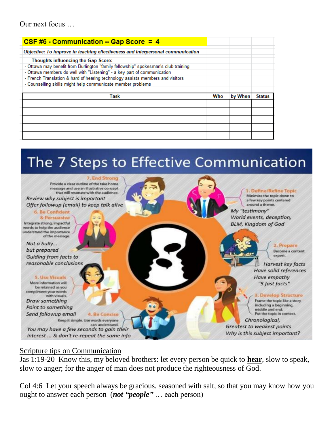| CSF #6 - Communication -- Gap Score = $4$                                          |     |         |               |
|------------------------------------------------------------------------------------|-----|---------|---------------|
| Objective: To improve in teaching effectiveness and interpersonal communication    |     |         |               |
| <b>Thoughts influencing the Gap Score:</b>                                         |     |         |               |
| - Ottawa may benefit from Burlington "family fellowship" spokesman's club training |     |         |               |
| - Ottawa members do well with "Listening" - a key part of communication            |     |         |               |
| - French Translation & hard of hearing technology assists members and visitors     |     |         |               |
| - Counselling skills might help communicate member problems                        |     |         |               |
|                                                                                    |     |         |               |
|                                                                                    |     |         |               |
| Task                                                                               | Who | by When | <b>Status</b> |
|                                                                                    |     |         |               |
|                                                                                    |     |         |               |
|                                                                                    |     |         |               |
|                                                                                    |     |         |               |

# The 7 Steps to Effective Communication



#### Scripture tips on Communication

Jas 1:19-20 Know this, my beloved brothers: let every person be quick to **hear**, slow to speak, slow to anger; for the anger of man does not produce the righteousness of God.

Col 4:6 Let your speech always be gracious, seasoned with salt, so that you may know how you ought to answer each person (*not "people"* … each person)